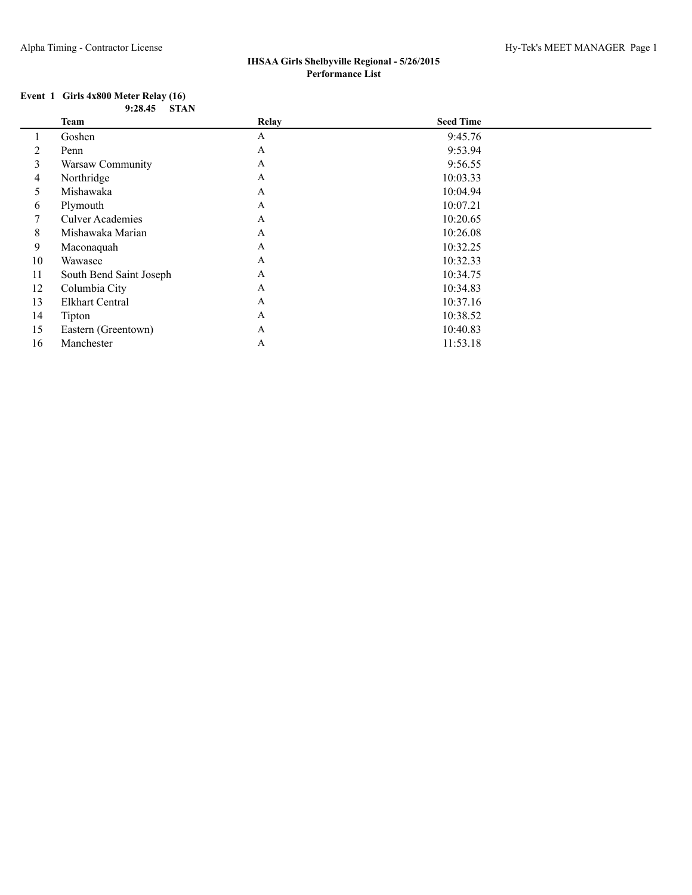#### **Event 1 Girls 4x800 Meter Relay (16) 9:28.45 STAN**

|    | <b>Team</b>             | Relay        | <b>Seed Time</b> |  |
|----|-------------------------|--------------|------------------|--|
|    | Goshen                  | A            | 9:45.76          |  |
| 2  | Penn                    | $\mathbf{A}$ | 9:53.94          |  |
| 3  | Warsaw Community        | A            | 9:56.55          |  |
| 4  | Northridge              | A            | 10:03.33         |  |
| 5  | Mishawaka               | A            | 10:04.94         |  |
| 6  | Plymouth                | $\mathbf{A}$ | 10:07.21         |  |
| 7  | <b>Culver Academies</b> | A            | 10:20.65         |  |
| 8  | Mishawaka Marian        | A            | 10:26.08         |  |
| 9  | Maconaquah              | A            | 10:32.25         |  |
| 10 | Wawasee                 | A            | 10:32.33         |  |
| 11 | South Bend Saint Joseph | A            | 10:34.75         |  |
| 12 | Columbia City           | A            | 10:34.83         |  |
| 13 | <b>Elkhart Central</b>  | A            | 10:37.16         |  |
| 14 | Tipton                  | A            | 10:38.52         |  |
| 15 | Eastern (Greentown)     | A            | 10:40.83         |  |
| 16 | Manchester              | A            | 11:53.18         |  |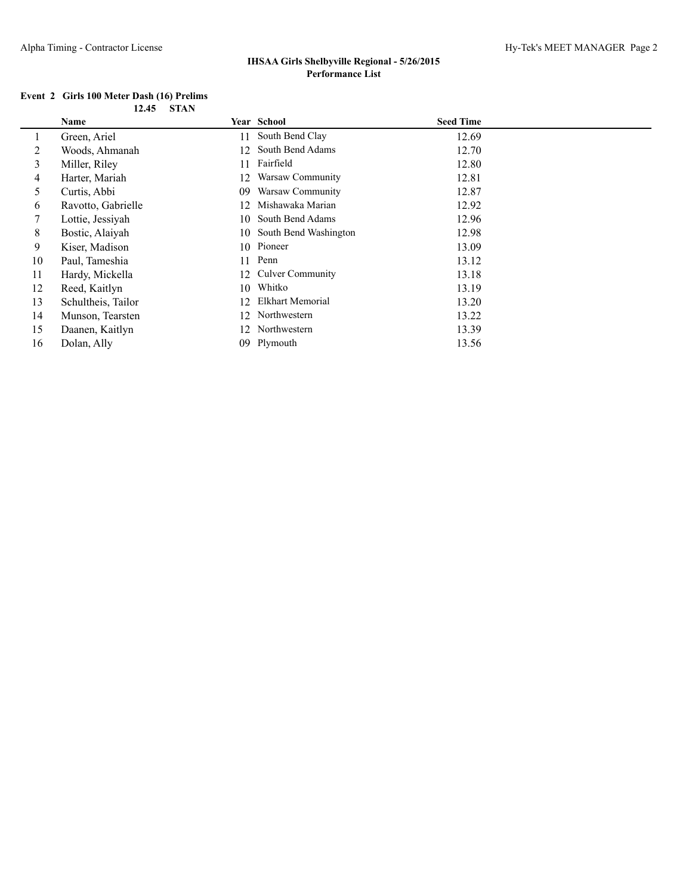### **Event 2 Girls 100 Meter Dash (16) Prelims 12.45 STAN**

|                | Name               |     | <b>Year School</b>       | <b>Seed Time</b> |
|----------------|--------------------|-----|--------------------------|------------------|
|                | Green, Ariel       | 11  | South Bend Clay          | 12.69            |
| $\overline{2}$ | Woods, Ahmanah     | 12  | South Bend Adams         | 12.70            |
| 3              | Miller, Riley      | 11  | Fairfield                | 12.80            |
| 4              | Harter, Mariah     | 12  | Warsaw Community         | 12.81            |
| 5              | Curtis, Abbi       | 09  | Warsaw Community         | 12.87            |
| 6              | Ravotto, Gabrielle | 12  | Mishawaka Marian         | 12.92            |
| 7              | Lottie, Jessiyah   | 10- | South Bend Adams         | 12.96            |
| 8              | Bostic, Alaiyah    |     | 10 South Bend Washington | 12.98            |
| 9              | Kiser, Madison     |     | 10 Pioneer               | 13.09            |
| 10             | Paul, Tameshia     | 11  | Penn                     | 13.12            |
| 11             | Hardy, Mickella    | 12. | <b>Culver Community</b>  | 13.18            |
| 12             | Reed, Kaitlyn      | 10  | Whitko                   | 13.19            |
| 13             | Schultheis, Tailor | 12  | Elkhart Memorial         | 13.20            |
| 14             | Munson, Tearsten   | 12  | Northwestern             | 13.22            |
| 15             | Daanen, Kaitlyn    | 12. | Northwestern             | 13.39            |
| 16             | Dolan, Ally        | 09  | Plymouth                 | 13.56            |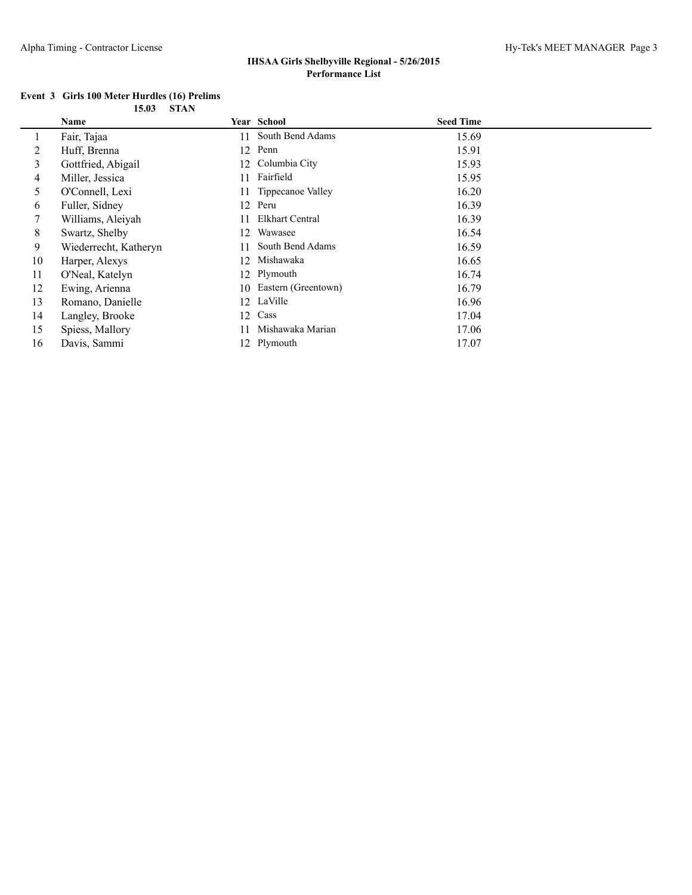|  | Event 3 Girls 100 Meter Hurdles (16) Prelims |            |  |
|--|----------------------------------------------|------------|--|
|  |                                              | 15.03 STAN |  |

|    | Name                  |     | Year School         | <b>Seed Time</b> |
|----|-----------------------|-----|---------------------|------------------|
|    | Fair, Tajaa           |     | 11 South Bend Adams | 15.69            |
| 2  | Huff, Brenna          |     | 12 Penn             | 15.91            |
| 3  | Gottfried, Abigail    |     | 12 Columbia City    | 15.93            |
| 4  | Miller, Jessica       | 11  | Fairfield           | 15.95            |
| 5  | O'Connell, Lexi       | 11  | Tippecanoe Valley   | 16.20            |
| 6  | Fuller, Sidney        |     | 12 Peru             | 16.39            |
| 7  | Williams, Aleiyah     |     | Elkhart Central     | 16.39            |
| 8  | Swartz, Shelby        | 12  | Wawasee             | 16.54            |
| 9  | Wiederrecht, Katheryn | 11  | South Bend Adams    | 16.59            |
| 10 | Harper, Alexys        | 12  | Mishawaka           | 16.65            |
| 11 | O'Neal, Katelyn       |     | 12 Plymouth         | 16.74            |
| 12 | Ewing, Arienna        | 10- | Eastern (Greentown) | 16.79            |
| 13 | Romano, Danielle      |     | 12 LaVille          | 16.96            |
| 14 | Langley, Brooke       | 12  | Cass                | 17.04            |
| 15 | Spiess, Mallory       | 11  | Mishawaka Marian    | 17.06            |
| 16 | Davis, Sammi          |     | 12 Plymouth         | 17.07            |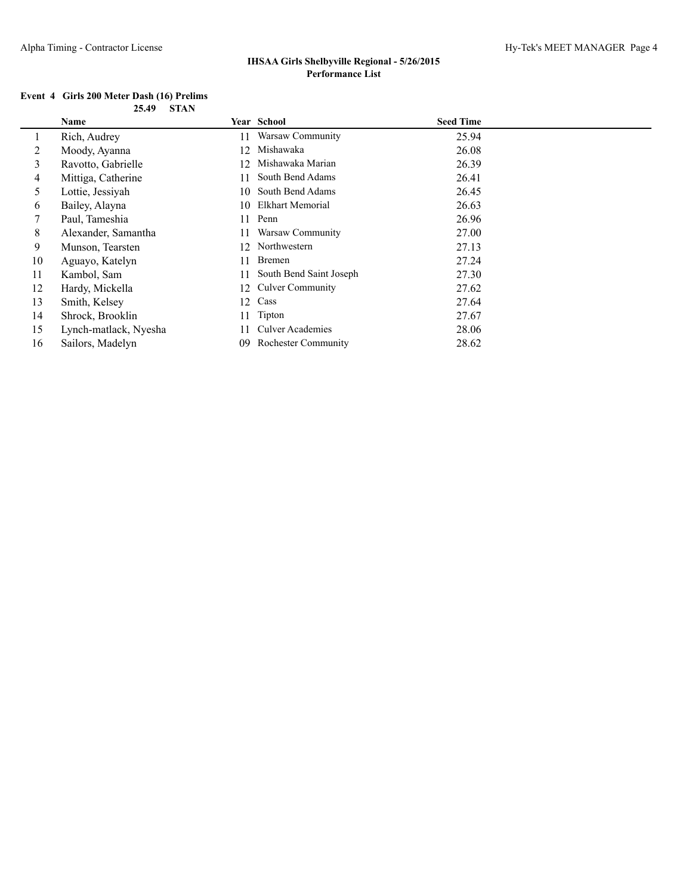#### **Event 4 Girls 200 Meter Dash (16) Prelims 25.49 STAN**

|    | Name                  |    | Year School                | <b>Seed Time</b> |
|----|-----------------------|----|----------------------------|------------------|
|    | Rich, Audrey          | 11 | Warsaw Community           | 25.94            |
| 2  | Moody, Ayanna         | 12 | Mishawaka                  | 26.08            |
| 3  | Ravotto, Gabrielle    | 12 | Mishawaka Marian           | 26.39            |
| 4  | Mittiga, Catherine    | 11 | South Bend Adams           | 26.41            |
| 5  | Lottie, Jessiyah      | 10 | South Bend Adams           | 26.45            |
| 6  | Bailey, Alayna        |    | 10 Elkhart Memorial        | 26.63            |
| 7  | Paul, Tameshia        | 11 | Penn                       | 26.96            |
| 8  | Alexander, Samantha   | 11 | Warsaw Community           | 27.00            |
| 9  | Munson, Tearsten      | 12 | Northwestern               | 27.13            |
| 10 | Aguayo, Katelyn       | 11 | <b>Bremen</b>              | 27.24            |
| 11 | Kambol, Sam           | 11 | South Bend Saint Joseph    | 27.30            |
| 12 | Hardy, Mickella       | 12 | <b>Culver Community</b>    | 27.62            |
| 13 | Smith, Kelsey         | 12 | Cass                       | 27.64            |
| 14 | Shrock, Brooklin      | 11 | Tipton                     | 27.67            |
| 15 | Lynch-matlack, Nyesha | 11 | <b>Culver Academies</b>    | 28.06            |
| 16 | Sailors, Madelyn      | 09 | <b>Rochester Community</b> | 28.62            |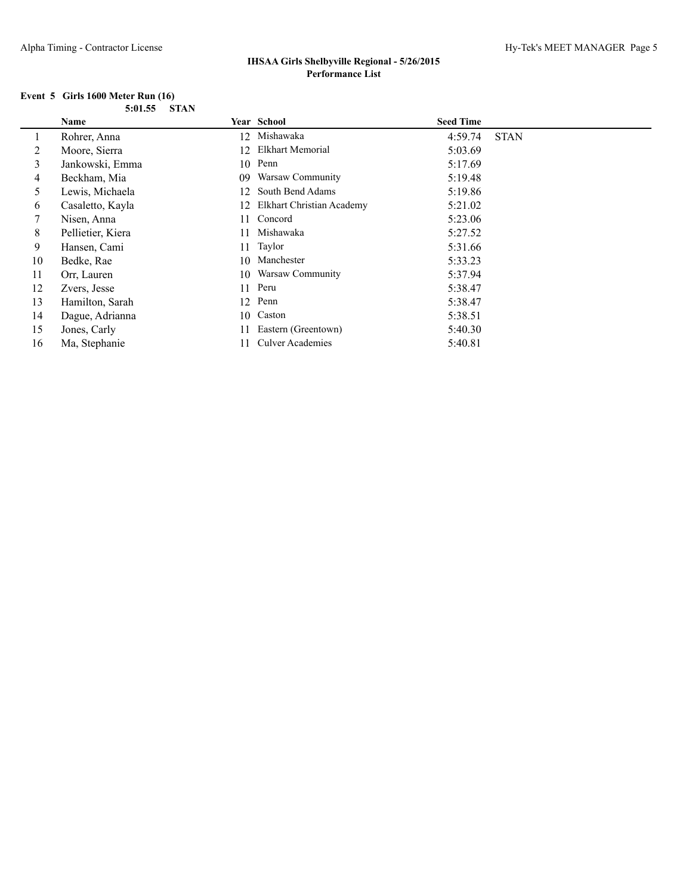#### **Event 5 Girls 1600 Meter Run (16) 5:01.55 STAN**

|    | Name              |    | Year School               | <b>Seed Time</b> |             |
|----|-------------------|----|---------------------------|------------------|-------------|
|    | Rohrer, Anna      | 12 | Mishawaka                 | 4:59.74          | <b>STAN</b> |
| 2  | Moore, Sierra     | 12 | Elkhart Memorial          | 5:03.69          |             |
| 3  | Jankowski, Emma   | 10 | Penn                      | 5:17.69          |             |
| 4  | Beckham, Mia      | 09 | Warsaw Community          | 5:19.48          |             |
| 5  | Lewis, Michaela   | 12 | South Bend Adams          | 5:19.86          |             |
| 6  | Casaletto, Kayla  | 12 | Elkhart Christian Academy | 5:21.02          |             |
| 7  | Nisen, Anna       | 11 | Concord                   | 5:23.06          |             |
| 8  | Pellietier, Kiera | 11 | Mishawaka                 | 5:27.52          |             |
| 9  | Hansen, Cami      | 11 | Taylor                    | 5:31.66          |             |
| 10 | Bedke, Rae        | 10 | Manchester                | 5:33.23          |             |
| 11 | Orr, Lauren       | 10 | Warsaw Community          | 5:37.94          |             |
| 12 | Zvers, Jesse      | 11 | Peru                      | 5:38.47          |             |
| 13 | Hamilton, Sarah   |    | 12 Penn                   | 5:38.47          |             |
| 14 | Dague, Adrianna   | 10 | Caston                    | 5:38.51          |             |
| 15 | Jones, Carly      | 11 | Eastern (Greentown)       | 5:40.30          |             |
| 16 | Ma, Stephanie     |    | <b>Culver Academies</b>   | 5:40.81          |             |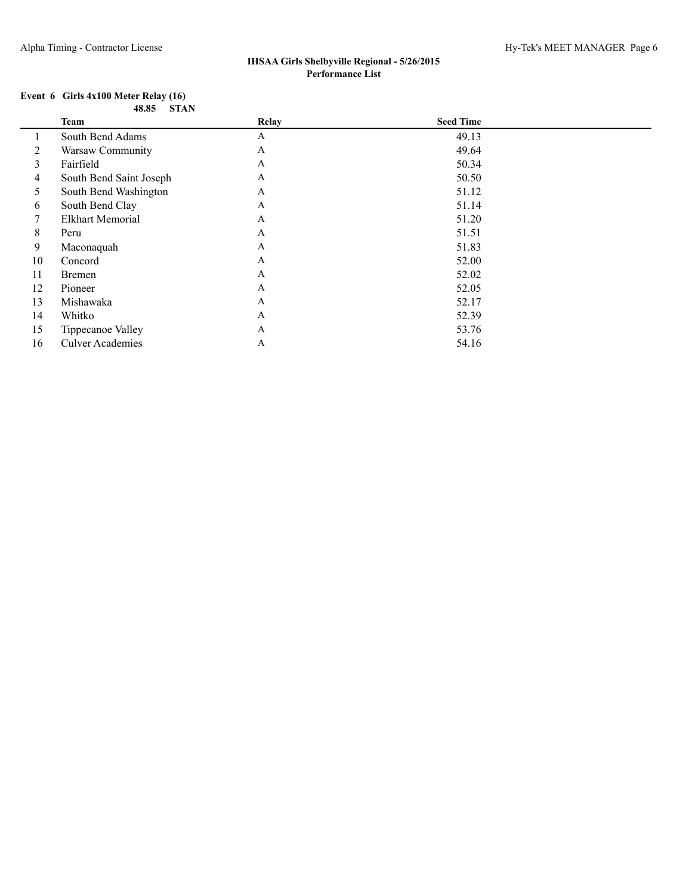#### **Event 6 Girls 4x100 Meter Relay (16) 48.85 STAN**

|    | <b>Team</b>             | Relay        | <b>Seed Time</b> |  |
|----|-------------------------|--------------|------------------|--|
|    | South Bend Adams        | A            | 49.13            |  |
| 2  | Warsaw Community        | A            | 49.64            |  |
| 3  | Fairfield               | A            | 50.34            |  |
| 4  | South Bend Saint Joseph | A            | 50.50            |  |
| 5  | South Bend Washington   | A            | 51.12            |  |
| 6  | South Bend Clay         | A            | 51.14            |  |
| 7  | <b>Elkhart Memorial</b> | $\mathbf{A}$ | 51.20            |  |
| 8  | Peru                    | A            | 51.51            |  |
| 9  | Maconaquah              | A            | 51.83            |  |
| 10 | Concord                 | A            | 52.00            |  |
| 11 | <b>Bremen</b>           | $\mathbf{A}$ | 52.02            |  |
| 12 | Pioneer                 | A            | 52.05            |  |
| 13 | Mishawaka               | A            | 52.17            |  |
| 14 | Whitko                  | A            | 52.39            |  |
| 15 | Tippecanoe Valley       | A            | 53.76            |  |
| 16 | <b>Culver Academies</b> | A            | 54.16            |  |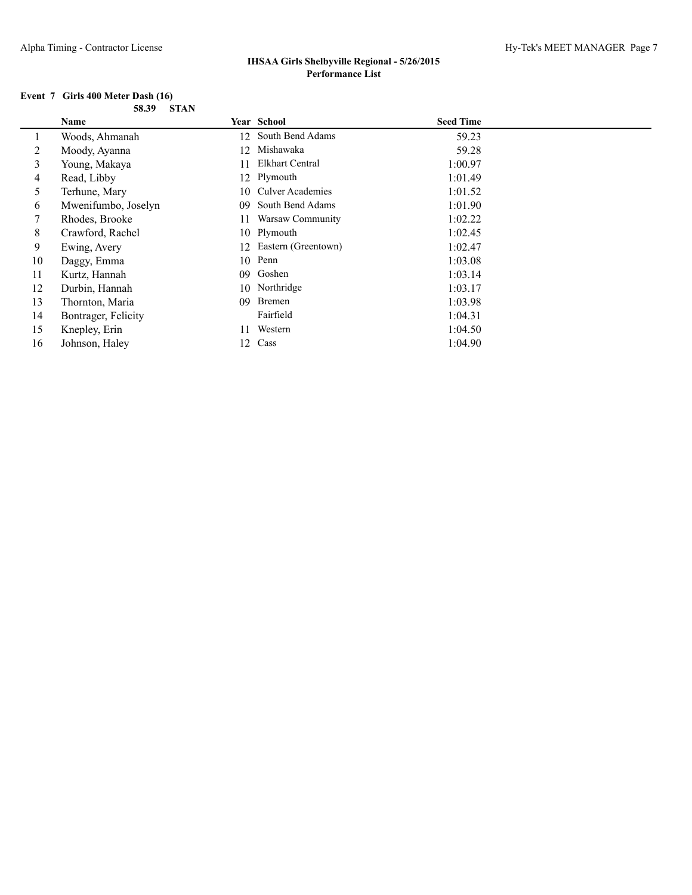#### **Event 7 Girls 400 Meter Dash (16) 58.39 STAN**

|    | Name                |    | Year School             | <b>Seed Time</b> |  |
|----|---------------------|----|-------------------------|------------------|--|
|    | Woods, Ahmanah      |    | 12 South Bend Adams     | 59.23            |  |
| 2  | Moody, Ayanna       | 12 | Mishawaka               | 59.28            |  |
| 3  | Young, Makaya       | 11 | Elkhart Central         | 1:00.97          |  |
| 4  | Read, Libby         | 12 | Plymouth                | 1:01.49          |  |
| 5  | Terhune, Mary       | 10 | <b>Culver Academies</b> | 1:01.52          |  |
| 6  | Mwenifumbo, Joselyn | 09 | South Bend Adams        | 1:01.90          |  |
| 7  | Rhodes, Brooke      | 11 | Warsaw Community        | 1:02.22          |  |
| 8  | Crawford, Rachel    |    | 10 Plymouth             | 1:02.45          |  |
| 9  | Ewing, Avery        | 12 | Eastern (Greentown)     | 1:02.47          |  |
| 10 | Daggy, Emma         | 10 | Penn                    | 1:03.08          |  |
| 11 | Kurtz, Hannah       | 09 | Goshen                  | 1:03.14          |  |
| 12 | Durbin, Hannah      | 10 | Northridge              | 1:03.17          |  |
| 13 | Thornton, Maria     | 09 | Bremen                  | 1:03.98          |  |
| 14 | Bontrager, Felicity |    | Fairfield               | 1:04.31          |  |
| 15 | Knepley, Erin       | 11 | Western                 | 1:04.50          |  |
| 16 | Johnson, Haley      | 12 | Cass                    | 1:04.90          |  |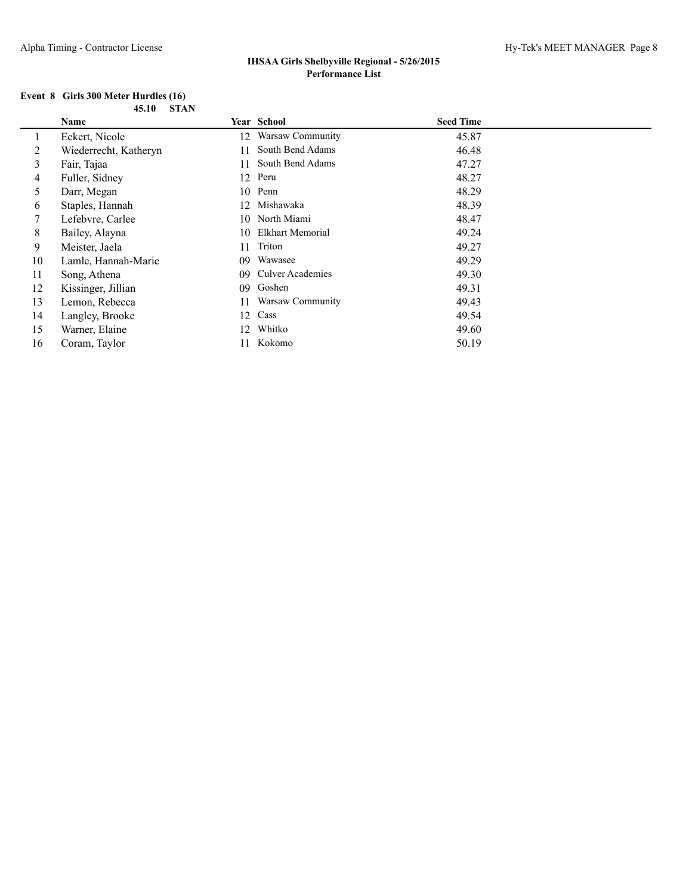#### **Event 8 Girls 300 Meter Hurdles (16) 45.10 STAN**

|    | <b>Name</b>           |    | Year School             | <b>Seed Time</b> |
|----|-----------------------|----|-------------------------|------------------|
|    | Eckert, Nicole        | 12 | Warsaw Community        | 45.87            |
| 2  | Wiederrecht, Katheryn | 11 | South Bend Adams        | 46.48            |
| 3  | Fair, Tajaa           | 11 | South Bend Adams        | 47.27            |
| 4  | Fuller, Sidney        |    | 12 Peru                 | 48.27            |
| 5  | Darr, Megan           | 10 | Penn                    | 48.29            |
| 6  | Staples, Hannah       | 12 | Mishawaka               | 48.39            |
| 7  | Lefebvre, Carlee      | 10 | North Miami             | 48.47            |
| 8  | Bailey, Alayna        | 10 | Elkhart Memorial        | 49.24            |
| 9  | Meister, Jaela        | 11 | Triton                  | 49.27            |
| 10 | Lamle, Hannah-Marie   | 09 | Wawasee                 | 49.29            |
| 11 | Song, Athena          | 09 | <b>Culver Academies</b> | 49.30            |
| 12 | Kissinger, Jillian    | 09 | Goshen                  | 49.31            |
| 13 | Lemon, Rebecca        | 11 | Warsaw Community        | 49.43            |
| 14 | Langley, Brooke       | 12 | Cass                    | 49.54            |
| 15 | Warner, Elaine        | 12 | Whitko                  | 49.60            |
| 16 | Coram, Taylor         |    | Kokomo                  | 50.19            |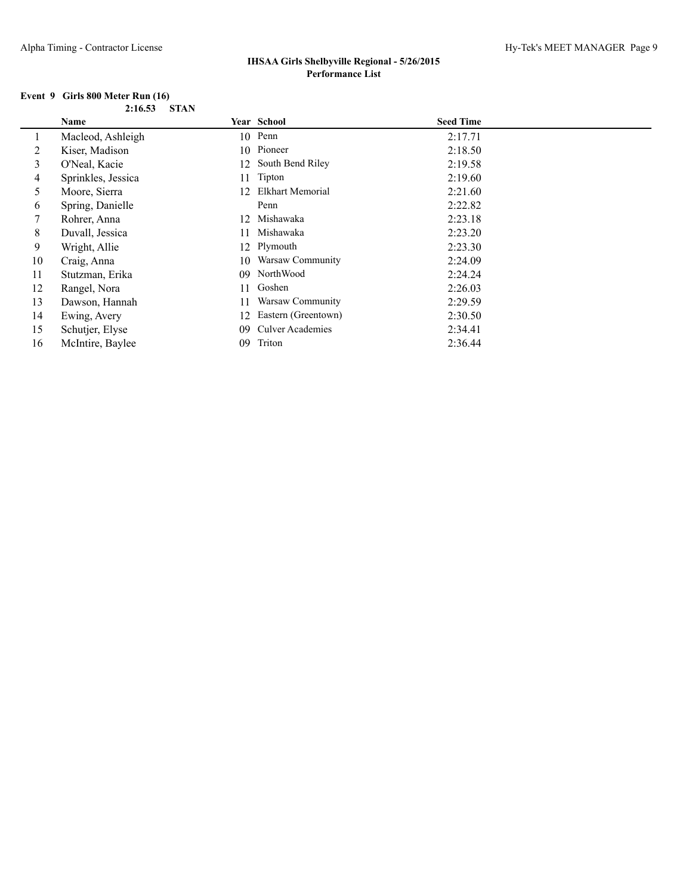#### **Event 9 Girls 800 Meter Run (16) 2:16.53 STAN**

|    | Name               |     | <b>Year School</b>      | <b>Seed Time</b> |
|----|--------------------|-----|-------------------------|------------------|
|    | Macleod, Ashleigh  |     | 10 Penn                 | 2:17.71          |
| 2  | Kiser, Madison     |     | 10 Pioneer              | 2:18.50          |
| 3  | O'Neal, Kacie      | 12  | South Bend Riley        | 2:19.58          |
| 4  | Sprinkles, Jessica | 11  | Tipton                  | 2:19.60          |
| 5  | Moore, Sierra      | 12  | Elkhart Memorial        | 2:21.60          |
| 6  | Spring, Danielle   |     | Penn                    | 2:22.82          |
| 7  | Rohrer, Anna       | 12  | Mishawaka               | 2:23.18          |
| 8  | Duvall, Jessica    | 11  | Mishawaka               | 2:23.20          |
| 9  | Wright, Allie      |     | 12 Plymouth             | 2:23.30          |
| 10 | Craig, Anna        | 10. | Warsaw Community        | 2:24.09          |
| 11 | Stutzman, Erika    | 09  | NorthWood               | 2:24.24          |
| 12 | Rangel, Nora       | 11  | Goshen                  | 2:26.03          |
| 13 | Dawson, Hannah     | 11  | Warsaw Community        | 2:29.59          |
| 14 | Ewing, Avery       | 12  | Eastern (Greentown)     | 2:30.50          |
| 15 | Schutjer, Elyse    | 09  | <b>Culver Academies</b> | 2:34.41          |
| 16 | McIntire, Baylee   | 09  | Triton                  | 2:36.44          |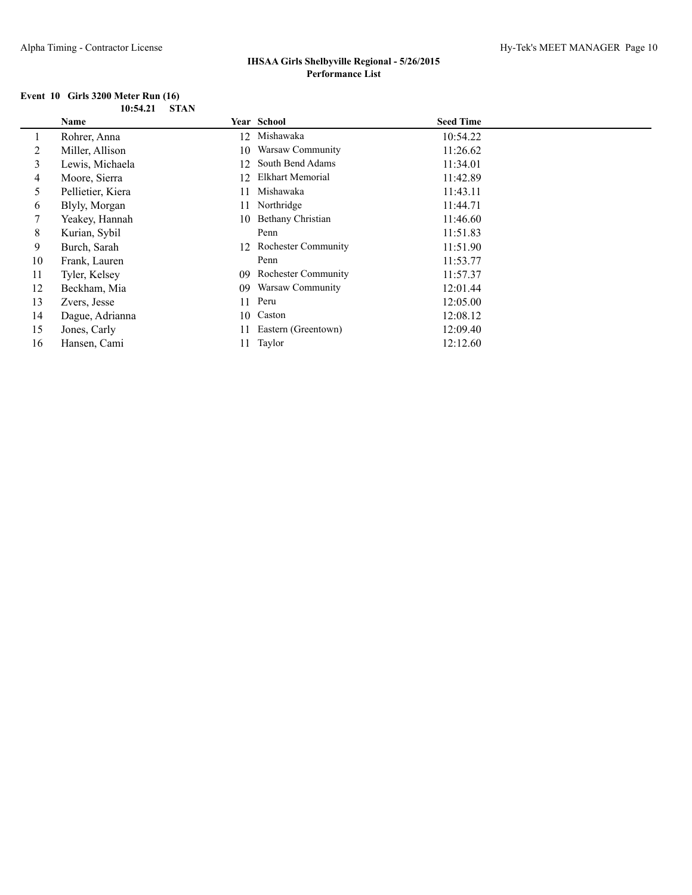#### **Event 10 Girls 3200 Meter Run (16) 10:54.21 STAN**

|    | Name              |    | Year School                | <b>Seed Time</b> |  |
|----|-------------------|----|----------------------------|------------------|--|
|    | Rohrer, Anna      | 12 | Mishawaka                  | 10:54.22         |  |
| 2  | Miller, Allison   | 10 | Warsaw Community           | 11:26.62         |  |
| 3  | Lewis, Michaela   | 12 | South Bend Adams           | 11:34.01         |  |
| 4  | Moore, Sierra     | 12 | Elkhart Memorial           | 11:42.89         |  |
| 5  | Pellietier, Kiera | 11 | Mishawaka                  | 11:43.11         |  |
| 6  | Blyly, Morgan     | 11 | Northridge                 | 11:44.71         |  |
|    | Yeakey, Hannah    |    | 10 Bethany Christian       | 11:46.60         |  |
| 8  | Kurian, Sybil     |    | Penn                       | 11:51.83         |  |
| 9  | Burch, Sarah      |    | 12 Rochester Community     | 11:51.90         |  |
| 10 | Frank, Lauren     |    | Penn                       | 11:53.77         |  |
| 11 | Tyler, Kelsey     | 09 | <b>Rochester Community</b> | 11:57.37         |  |
| 12 | Beckham, Mia      | 09 | Warsaw Community           | 12:01.44         |  |
| 13 | Zvers, Jesse      | 11 | Peru                       | 12:05.00         |  |
| 14 | Dague, Adrianna   | 10 | Caston                     | 12:08.12         |  |
| 15 | Jones, Carly      | 11 | Eastern (Greentown)        | 12:09.40         |  |
| 16 | Hansen, Cami      | 11 | Taylor                     | 12:12.60         |  |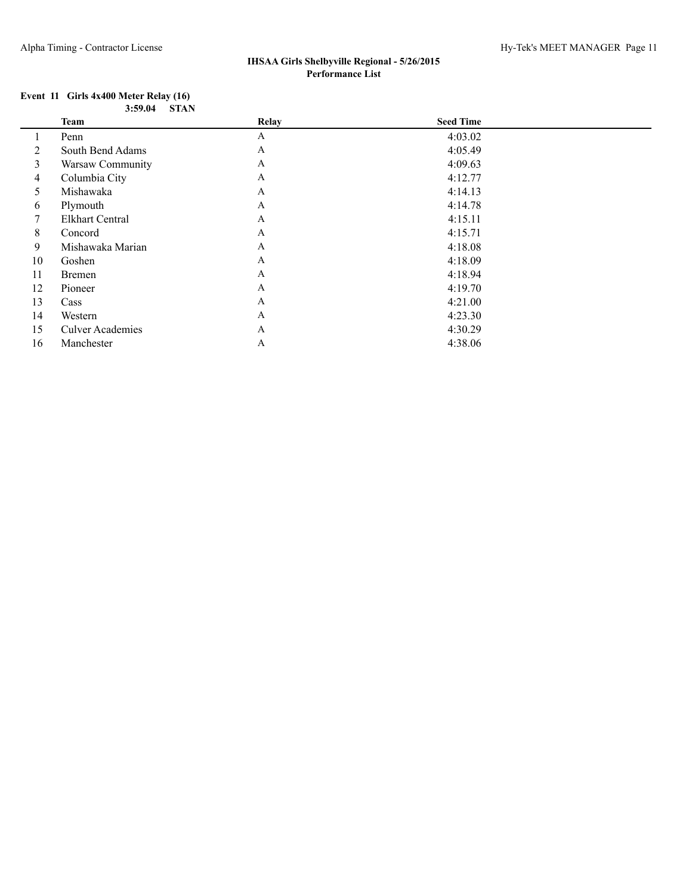#### **Event 11 Girls 4x400 Meter Relay (16) 3:59.04 STAN**

|    | <b>Team</b>             | <b>Relay</b> | <b>Seed Time</b> |  |
|----|-------------------------|--------------|------------------|--|
|    | Penn                    | A            | 4:03.02          |  |
| 2  | South Bend Adams        | A            | 4:05.49          |  |
| 3  | Warsaw Community        | A            | 4:09.63          |  |
| 4  | Columbia City           | A            | 4:12.77          |  |
| 5  | Mishawaka               | A            | 4:14.13          |  |
| 6  | Plymouth                | A            | 4:14.78          |  |
| 7  | <b>Elkhart Central</b>  | A            | 4:15.11          |  |
| 8  | Concord                 | $\mathbf{A}$ | 4:15.71          |  |
| 9  | Mishawaka Marian        | A            | 4:18.08          |  |
| 10 | Goshen                  | A            | 4:18.09          |  |
| 11 | <b>Bremen</b>           | A            | 4:18.94          |  |
| 12 | Pioneer                 | A            | 4:19.70          |  |
| 13 | Cass                    | A            | 4:21.00          |  |
| 14 | Western                 | $\mathbf{A}$ | 4:23.30          |  |
| 15 | <b>Culver Academies</b> | A            | 4:30.29          |  |
| 16 | Manchester              | A            | 4:38.06          |  |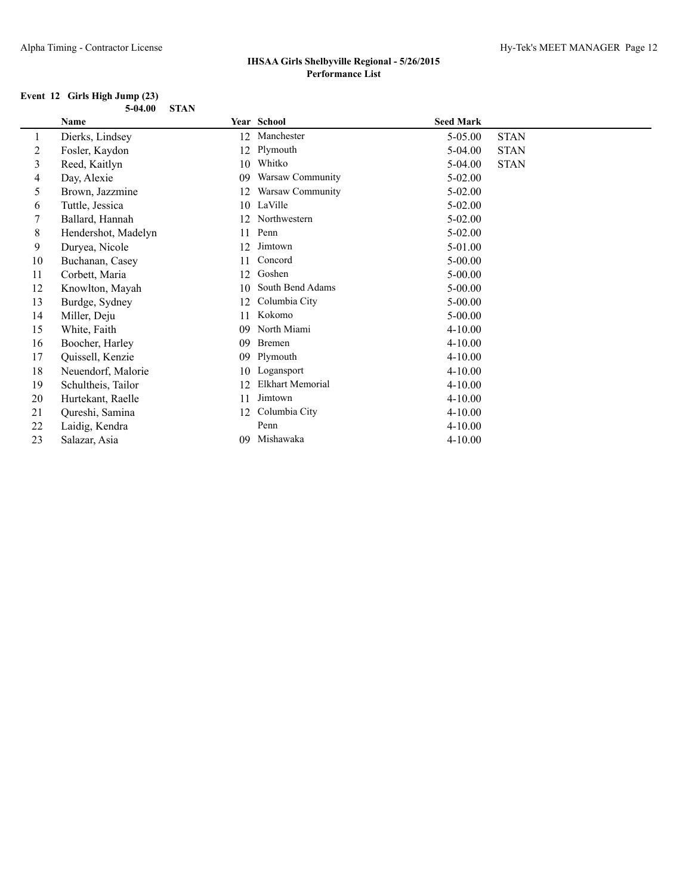#### **Event 12 Girls High Jump (23) 5-04.00 STAN**

|    | Name                |    | Year School      | <b>Seed Mark</b> |             |
|----|---------------------|----|------------------|------------------|-------------|
| 1  | Dierks, Lindsey     | 12 | Manchester       | $5-05.00$        | <b>STAN</b> |
| 2  | Fosler, Kaydon      | 12 | Plymouth         | $5-04.00$        | <b>STAN</b> |
| 3  | Reed, Kaitlyn       | 10 | Whitko           | $5-04.00$        | <b>STAN</b> |
| 4  | Day, Alexie         | 09 | Warsaw Community | $5-02.00$        |             |
| 5  | Brown, Jazzmine     | 12 | Warsaw Community | $5 - 02.00$      |             |
| 6  | Tuttle, Jessica     | 10 | LaVille          | $5-02.00$        |             |
| 7  | Ballard, Hannah     | 12 | Northwestern     | $5-02.00$        |             |
| 8  | Hendershot, Madelyn | 11 | Penn             | $5-02.00$        |             |
| 9  | Duryea, Nicole      | 12 | Jimtown          | 5-01.00          |             |
| 10 | Buchanan, Casey     | 11 | Concord          | $5 - 00.00$      |             |
| 11 | Corbett, Maria      | 12 | Goshen           | $5 - 00.00$      |             |
| 12 | Knowlton, Mayah     | 10 | South Bend Adams | $5 - 00.00$      |             |
| 13 | Burdge, Sydney      | 12 | Columbia City    | $5 - 00.00$      |             |
| 14 | Miller, Deju        | 11 | Kokomo           | $5 - 00.00$      |             |
| 15 | White, Faith        | 09 | North Miami      | $4 - 10.00$      |             |
| 16 | Boocher, Harley     | 09 | <b>Bremen</b>    | $4 - 10.00$      |             |
| 17 | Quissell, Kenzie    | 09 | Plymouth         | $4 - 10.00$      |             |
| 18 | Neuendorf, Malorie  | 10 | Logansport       | $4 - 10.00$      |             |
| 19 | Schultheis, Tailor  | 12 | Elkhart Memorial | $4 - 10.00$      |             |
| 20 | Hurtekant, Raelle   | 11 | Jimtown          | $4 - 10.00$      |             |
| 21 | Qureshi, Samina     | 12 | Columbia City    | $4 - 10.00$      |             |
| 22 | Laidig, Kendra      |    | Penn             | $4 - 10.00$      |             |
| 23 | Salazar, Asia       | 09 | Mishawaka        | $4 - 10.00$      |             |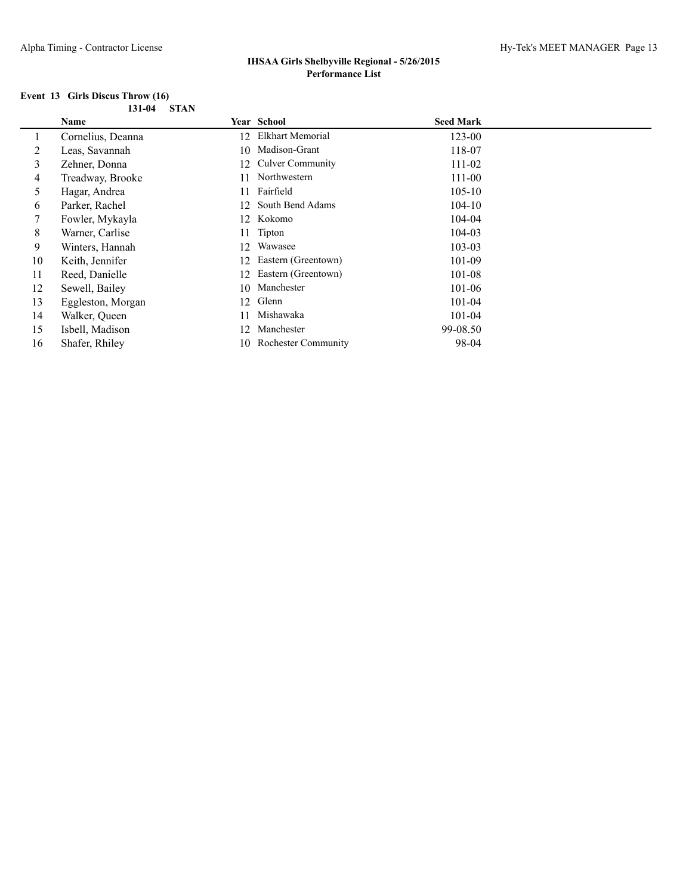#### **Event 13 Girls Discus Throw (16) 131-04 STAN**

|    | Name              |     | <b>Year School</b>         | <b>Seed Mark</b> |  |
|----|-------------------|-----|----------------------------|------------------|--|
|    | Cornelius, Deanna | 12  | Elkhart Memorial           | 123-00           |  |
| 2  | Leas, Savannah    | 10. | Madison-Grant              | 118-07           |  |
| 3  | Zehner, Donna     | 12  | <b>Culver Community</b>    | 111-02           |  |
| 4  | Treadway, Brooke  | 11  | Northwestern               | 111-00           |  |
| 5  | Hagar, Andrea     | 11  | Fairfield                  | $105 - 10$       |  |
| 6  | Parker, Rachel    | 12  | South Bend Adams           | $104 - 10$       |  |
| 7  | Fowler, Mykayla   | 12. | Kokomo                     | 104-04           |  |
| 8  | Warner, Carlise   | 11  | Tipton                     | 104-03           |  |
| 9  | Winters, Hannah   | 12  | Wawasee                    | $103 - 03$       |  |
| 10 | Keith, Jennifer   | 12  | Eastern (Greentown)        | 101-09           |  |
| 11 | Reed, Danielle    | 12  | Eastern (Greentown)        | 101-08           |  |
| 12 | Sewell, Bailey    | 10. | Manchester                 | 101-06           |  |
| 13 | Eggleston, Morgan | 12  | Glenn                      | 101-04           |  |
| 14 | Walker, Queen     |     | Mishawaka                  | 101-04           |  |
| 15 | Isbell, Madison   | 12  | Manchester                 | 99-08.50         |  |
| 16 | Shafer, Rhiley    | 10. | <b>Rochester Community</b> | 98-04            |  |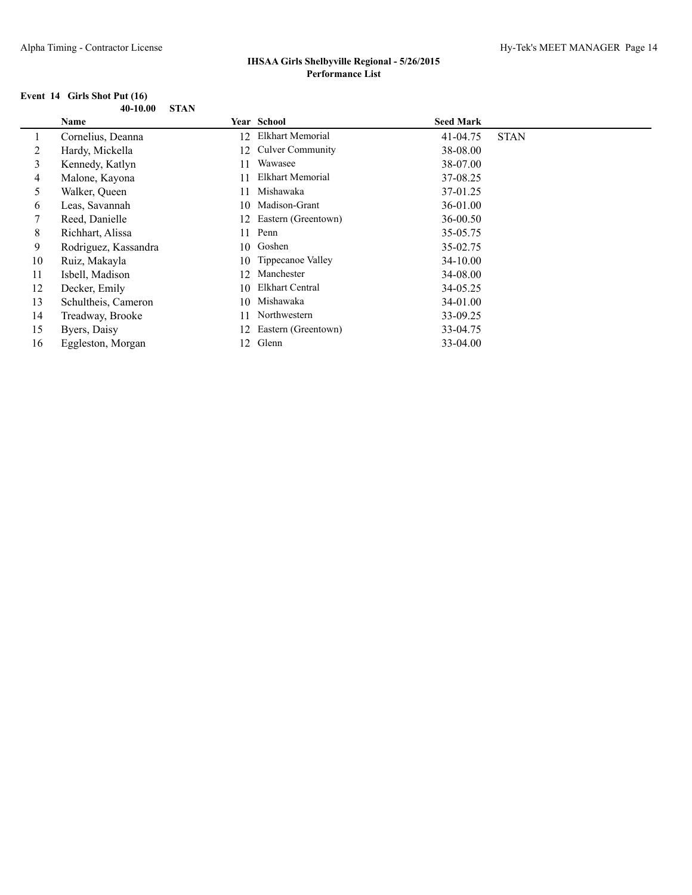#### **Event 14 Girls Shot Put (16) 40-10.00 STAN**

|    | <b>Name</b>          |    | <b>Year School</b>      | <b>Seed Mark</b> |             |
|----|----------------------|----|-------------------------|------------------|-------------|
|    | Cornelius, Deanna    | 12 | Elkhart Memorial        | 41-04.75         | <b>STAN</b> |
| 2  | Hardy, Mickella      | 12 | <b>Culver Community</b> | 38-08.00         |             |
| 3  | Kennedy, Katlyn      | 11 | Wawasee                 | 38-07.00         |             |
| 4  | Malone, Kayona       |    | Elkhart Memorial        | 37-08.25         |             |
| 5  | Walker, Queen        |    | Mishawaka               | 37-01.25         |             |
| 6  | Leas, Savannah       | 10 | Madison-Grant           | 36-01.00         |             |
|    | Reed, Danielle       | 12 | Eastern (Greentown)     | 36-00.50         |             |
| 8  | Richhart, Alissa     | 11 | Penn                    | 35-05.75         |             |
| 9  | Rodriguez, Kassandra | 10 | Goshen                  | 35-02.75         |             |
| 10 | Ruiz, Makayla        | 10 | Tippecanoe Valley       | 34-10.00         |             |
| 11 | Isbell, Madison      | 12 | Manchester              | 34-08.00         |             |
| 12 | Decker, Emily        | 10 | Elkhart Central         | 34-05.25         |             |
| 13 | Schultheis, Cameron  | 10 | Mishawaka               | 34-01.00         |             |
| 14 | Treadway, Brooke     |    | Northwestern            | 33-09.25         |             |
| 15 | Byers, Daisy         | 12 | Eastern (Greentown)     | 33-04.75         |             |
| 16 | Eggleston, Morgan    | 12 | Glenn                   | 33-04.00         |             |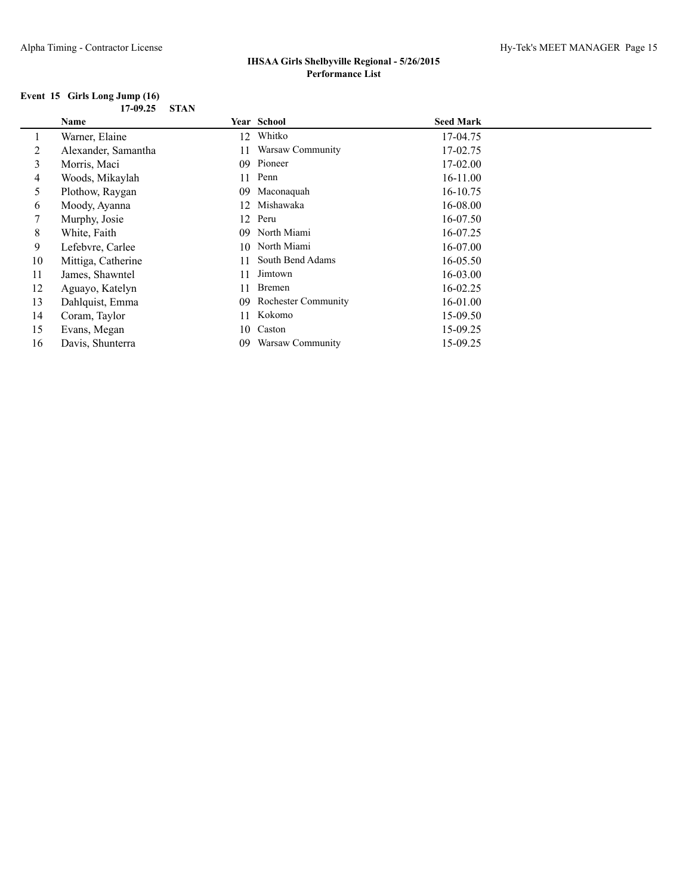#### **Event 15 Girls Long Jump (16) 17-09.25 STAN**

|    | Name                |    | Year School                | <b>Seed Mark</b> |
|----|---------------------|----|----------------------------|------------------|
|    | Warner, Elaine      | 12 | Whitko                     | 17-04.75         |
| 2  | Alexander, Samantha | 11 | Warsaw Community           | 17-02.75         |
| 3  | Morris, Maci        | 09 | Pioneer                    | $17-02.00$       |
| 4  | Woods, Mikaylah     | 11 | Penn                       | $16 - 11.00$     |
| 5  | Plothow, Raygan     | 09 | Maconaquah                 | 16-10.75         |
| 6  | Moody, Ayanna       | 12 | Mishawaka                  | 16-08.00         |
| 7  | Murphy, Josie       |    | 12 Peru                    | 16-07.50         |
| 8  | White, Faith        | 09 | North Miami                | 16-07.25         |
| 9  | Lefebvre, Carlee    |    | 10 North Miami             | $16-07.00$       |
| 10 | Mittiga, Catherine  | 11 | South Bend Adams           | 16-05.50         |
| 11 | James, Shawntel     |    | Jimtown                    | $16 - 03.00$     |
| 12 | Aguayo, Katelyn     | 11 | Bremen                     | 16-02.25         |
| 13 | Dahlquist, Emma     | 09 | <b>Rochester Community</b> | 16-01.00         |
| 14 | Coram, Taylor       | 11 | Kokomo                     | 15-09.50         |
| 15 | Evans, Megan        | 10 | Caston                     | 15-09.25         |
| 16 | Davis, Shunterra    | 09 | Warsaw Community           | 15-09.25         |